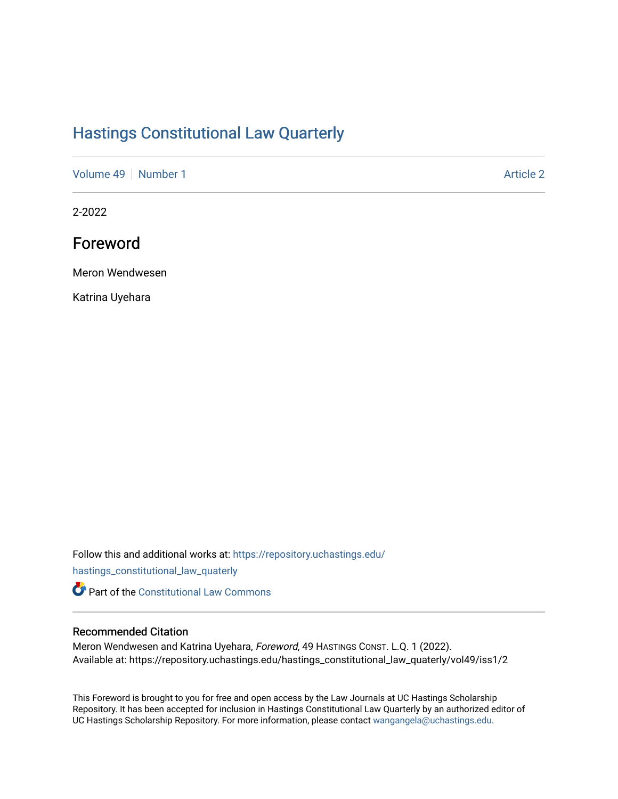## [Hastings Constitutional Law Quarterly](https://repository.uchastings.edu/hastings_constitutional_law_quaterly)

[Volume 49](https://repository.uchastings.edu/hastings_constitutional_law_quaterly/vol49) [Number 1](https://repository.uchastings.edu/hastings_constitutional_law_quaterly/vol49/iss1) Article 2

2-2022

## Foreword

Meron Wendwesen

Katrina Uyehara

Follow this and additional works at: [https://repository.uchastings.edu/](https://repository.uchastings.edu/hastings_constitutional_law_quaterly?utm_source=repository.uchastings.edu%2Fhastings_constitutional_law_quaterly%2Fvol49%2Fiss1%2F2&utm_medium=PDF&utm_campaign=PDFCoverPages)

[hastings\\_constitutional\\_law\\_quaterly](https://repository.uchastings.edu/hastings_constitutional_law_quaterly?utm_source=repository.uchastings.edu%2Fhastings_constitutional_law_quaterly%2Fvol49%2Fiss1%2F2&utm_medium=PDF&utm_campaign=PDFCoverPages) 

**Part of the Constitutional Law Commons** 

## Recommended Citation

Meron Wendwesen and Katrina Uyehara, Foreword, 49 HASTINGS CONST. L.Q. 1 (2022). Available at: https://repository.uchastings.edu/hastings\_constitutional\_law\_quaterly/vol49/iss1/2

This Foreword is brought to you for free and open access by the Law Journals at UC Hastings Scholarship Repository. It has been accepted for inclusion in Hastings Constitutional Law Quarterly by an authorized editor of UC Hastings Scholarship Repository. For more information, please contact [wangangela@uchastings.edu](mailto:wangangela@uchastings.edu).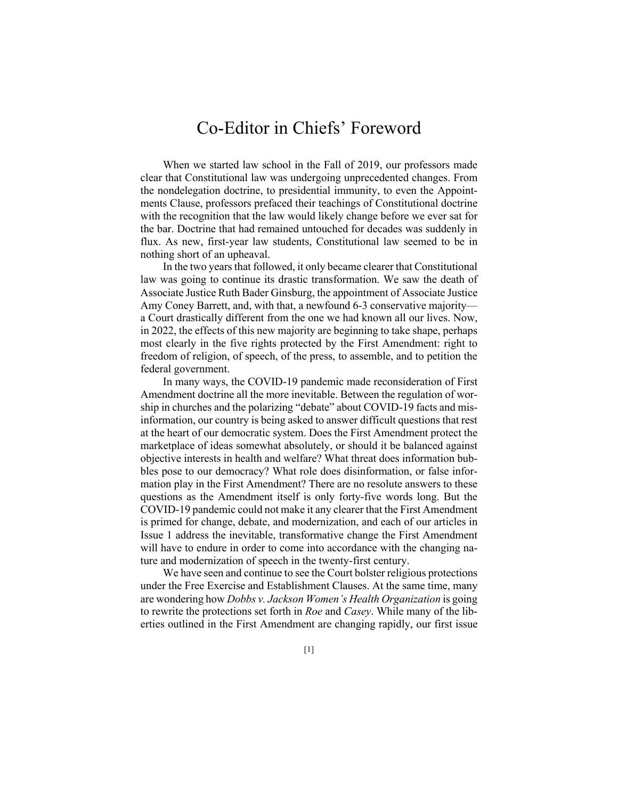## Co-Editor in Chiefs' Foreword

When we started law school in the Fall of 2019, our professors made clear that Constitutional law was undergoing unprecedented changes. From the nondelegation doctrine, to presidential immunity, to even the Appointments Clause, professors prefaced their teachings of Constitutional doctrine with the recognition that the law would likely change before we ever sat for the bar. Doctrine that had remained untouched for decades was suddenly in flux. As new, first-year law students, Constitutional law seemed to be in nothing short of an upheaval.

In the two years that followed, it only became clearer that Constitutional law was going to continue its drastic transformation. We saw the death of Associate Justice Ruth Bader Ginsburg, the appointment of Associate Justice Amy Coney Barrett, and, with that, a newfound 6-3 conservative majority a Court drastically different from the one we had known all our lives. Now, in 2022, the effects of this new majority are beginning to take shape, perhaps most clearly in the five rights protected by the First Amendment: right to freedom of religion, of speech, of the press, to assemble, and to petition the federal government.

In many ways, the COVID-19 pandemic made reconsideration of First Amendment doctrine all the more inevitable. Between the regulation of worship in churches and the polarizing "debate" about COVID-19 facts and misinformation, our country is being asked to answer difficult questions that rest at the heart of our democratic system. Does the First Amendment protect the marketplace of ideas somewhat absolutely, or should it be balanced against objective interests in health and welfare? What threat does information bubbles pose to our democracy? What role does disinformation, or false information play in the First Amendment? There are no resolute answers to these questions as the Amendment itself is only forty-five words long. But the COVID-19 pandemic could not make it any clearer that the First Amendment is primed for change, debate, and modernization, and each of our articles in Issue 1 address the inevitable, transformative change the First Amendment will have to endure in order to come into accordance with the changing nature and modernization of speech in the twenty-first century.

We have seen and continue to see the Court bolster religious protections under the Free Exercise and Establishment Clauses. At the same time, many are wondering how *Dobbs v. Jackson Women's Health Organization* is going to rewrite the protections set forth in *Roe* and *Casey*. While many of the liberties outlined in the First Amendment are changing rapidly, our first issue